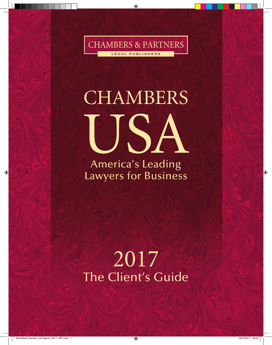CHAMBERS & PARTNERS LEGAL PUBLISHERS

# **CHAMBERS** USA

America's Leading Lawyers for Business

## 2017 The Client's Guide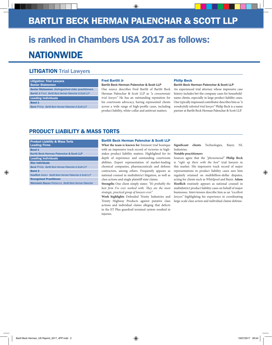### Bartlit Beck Herman Palenchar & Scott LLP

## is ranked in Chambers USA 2017 as follows: **NATIONWIDE**

#### **LITIGATION Trial Lawyers**

#### Litigation: Trial Lawyers Senior Statesmen

Senior Statesmen: **distinguished older practitioners Bartlit Jr** Fred *Bartlit Beck Herman Palenchar & Scott LLP*

#### Leading Individuals

Band 1

**Beck** Philip *Bartlit Beck Herman Palenchar & Scott LLP*

#### Fred Bartlit Jr

#### **Bartlit Beck Herman Palenchar & Scott LLP**

One source describes Fred Bartlit of Bartlit Beck Herman Palenchar & Scott LLP as *"a consummate trial lawyer."* He has an outstanding reputation for his courtroom advocacy, having represented clients across a wide range of high-profile cases, including product liability, white-collar and antitrust matters.

#### Philip Beck

#### **Bartlit Beck Herman Palenchar & Scott LLP**

An experienced trial attorney whose impressive case history includes bet-the-company cases for householdname clients, especially in large product liability cases. One typically impressed contributor describes him as *"a wonderfully talented trial lawyer."* Philip Beck is a name partner at Bartlit Beck Herman Palenchar & Scott LLP.

#### Product Liability & Mass Torts

| <b>Product Liability &amp; Mass Torts</b><br><b>Leading Firms</b> |
|-------------------------------------------------------------------|
| <b>Band 1</b>                                                     |
| Bartlit Beck Herman Palenchar & Scott LLP                         |
| <b>Leading Individuals</b>                                        |
| <b>Star individuals</b>                                           |
| <b>Beck Philip Bartlit Beck Herman Palenchar &amp; Scott LLP</b>  |
| <b>Band 3</b>                                                     |
| Hoeflich Adam Bartlit Beck Herman Palenchar & Scott LLP           |
| <b>Recognised Practitioner</b>                                    |
| Weinstein Bacon Rebecca Bartlit Beck Herman Palenchar             |

#### Bartlit Beck Herman Palenchar & Scott LLP

**What the team is known for** Eminent trial boutique with an impressive track record of victories in highstakes product liability matters. Highlighted for its depth of experience and outstanding courtroom abilities. Expert representation of market-leading chemical companies, pharmaceuticals and defense contractors, among others. Frequently appears as national counsel in multidistrict litigation, as well as class actions and single plaintiff state claims.

**Strengths** One client simply states: *"It's probably the best firm I've ever worked with. They are the most strategic, practical group of lawyers ever."*

**Work highlights** Defended Trinity Industries and Trinity Highway Products against putative class actions and individual claims alleging that defects in the ET Plus guardrail terminal system resulted in injuries.

**Significant clients** Technologies, Bayer, NL Industries.

#### **Notable practitioners**

Sources agree that the *"phenomenal"* **Philip Beck** is *"right up there with the best"* trial lawyers in this market. His impressive track record of major representations in product liability cases sees him regularly retained on multibillion-dollar disputes, acting for clients such as Whirlpool and Bayer. **Adam Hoeflich** routinely appears as national counsel in multidistrict product liability cases on behalf of major businesses. Interviewees describe him as an *"excellent lawyer,"* highlighting his experience in coordinating large-scale class action and individual claims defense.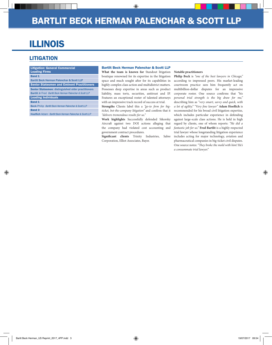## Illinois

#### **LITIGATION**

Litigation: General Commercial Leading Firms Band 1 **Bartlit Beck Herman Palenchar & Scott LLP** Senior Statesmen and Eminent Practitioners Senior Statesmen: **distinguished older practitioners Bartlit Jr** Fred *Bartlit Beck Herman Palenchar & Scott LLP* Leading Individuals Band 1 **Beck** Philip *Bartlit Beck Herman Palenchar & Scott LLP* Band 3 **Hoeflich** Adam *Bartlit Beck Herman Palenchar & Scott LLP*

#### Bartlit Beck Herman Palenchar & Scott LLP

**What the team is known for** Standout litigation boutique renowned for its expertise in the litigation space and much sought after for its capabilities in highly complex class action and multidistrict matters. Possesses deep expertise in areas such as product liability, mass torts, securities, antitrust and IP. Features an exceptional roster of talented attorneys with an impressive track record of success at trial.

**Strengths** Clients label this a *"go-to firm for bigticket, bet-the-company litigation"* and confirm that it *"delivers tremendous results for us."*

**Work highlights** Successfully defended Sikorsky Aircraft against two DOJ actions alleging that the company had violated cost accounting and government contract procedures.

**Significant clients** Trinity Industries, Sabre Corporation, Elliot Associates, Bayer.

#### **Notable practitioners**

**Philip Beck** is *"one of the best lawyers in Chicago,"* according to impressed peers. His market-leading courtroom practice sees him frequently act on multibillion-dollar disputes for an impressive corporate roster. One source confirms that *"his personal trial strength is the big draw for me,"* describing him as *"very smart, savvy and quick, with a lot of agility." "Very fine lawyer"* **Adam Hoeflich** is recommended for his broad civil litigation expertise, which includes particular experience in defending against large-scale class actions. He is held in high regard by clients, one of whom reports: *"He did a fantastic job for us."* **Fred Bartlit** is a highly respected trial lawyer whose longstanding litigation experience includes acting for major technology, aviation and pharmaceutical companies in big-ticket civil disputes. One source notes: *"They broke the mold with him! He's a consummate trial lawyer."*